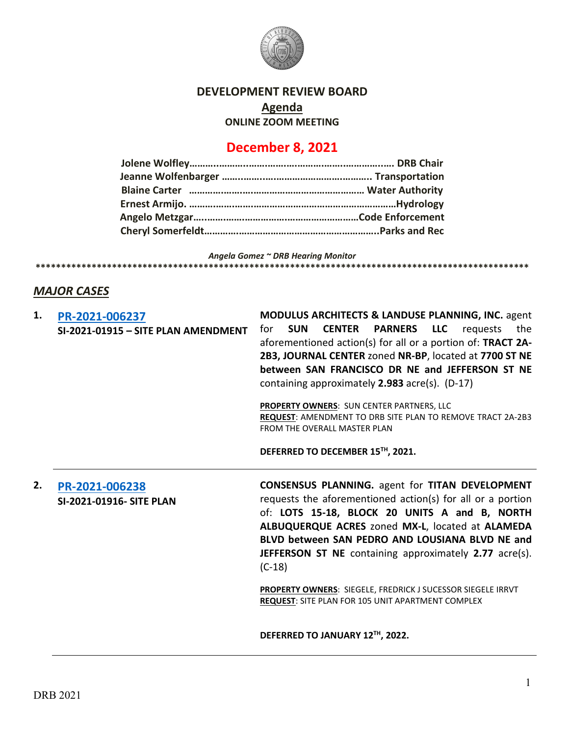

# **DEVELOPMENT REVIEW BOARD**

**Agenda**

**ONLINE ZOOM MEETING**

# **December 8, 2021**

*Angela Gomez ~ DRB Hearing Monitor* **\*\*\*\*\*\*\*\*\*\*\*\*\*\*\*\*\*\*\*\*\*\*\*\*\*\*\*\*\*\*\*\*\*\*\*\*\*\*\*\*\*\*\*\*\*\*\*\*\*\*\*\*\*\*\*\*\*\*\*\*\*\*\*\*\*\*\*\*\*\*\*\*\*\*\*\*\*\*\*\*\*\*\*\*\*\*\*\*\*\*\*\*\*\*\*\*\***

# *MAJOR CASES*

| 1. | PR-2021-006237<br>SI-2021-01915 - SITE PLAN AMENDMENT | MODULUS ARCHITECTS & LANDUSE PLANNING, INC. agent<br><b>CENTER</b><br><b>PARNERS</b><br><b>LLC</b><br><b>SUN</b><br>requests<br>the<br>for<br>aforementioned action(s) for all or a portion of: TRACT 2A-<br>2B3, JOURNAL CENTER zoned NR-BP, located at 7700 ST NE<br>between SAN FRANCISCO DR NE and JEFFERSON ST NE<br>containing approximately $2.983$ acre(s). (D-17)                                                                                                                  |
|----|-------------------------------------------------------|---------------------------------------------------------------------------------------------------------------------------------------------------------------------------------------------------------------------------------------------------------------------------------------------------------------------------------------------------------------------------------------------------------------------------------------------------------------------------------------------|
|    |                                                       | <b>PROPERTY OWNERS: SUN CENTER PARTNERS, LLC</b><br>REQUEST: AMENDMENT TO DRB SITE PLAN TO REMOVE TRACT 2A-2B3<br>FROM THE OVERALL MASTER PLAN                                                                                                                                                                                                                                                                                                                                              |
|    |                                                       | DEFERRED TO DECEMBER 15TH, 2021.                                                                                                                                                                                                                                                                                                                                                                                                                                                            |
| 2. | PR-2021-006238<br><b>SI-2021-01916- SITE PLAN</b>     | <b>CONSENSUS PLANNING.</b> agent for TITAN DEVELOPMENT<br>requests the aforementioned action(s) for all or a portion<br>of: LOTS 15-18, BLOCK 20 UNITS A and B, NORTH<br>ALBUQUERQUE ACRES zoned MX-L, located at ALAMEDA<br>BLVD between SAN PEDRO AND LOUSIANA BLVD NE and<br><b>JEFFERSON ST NE</b> containing approximately 2.77 acre(s).<br>$(C-18)$<br><b>PROPERTY OWNERS: SIEGELE, FREDRICK J SUCESSOR SIEGELE IRRVT</b><br><b>REQUEST: SITE PLAN FOR 105 UNIT APARTMENT COMPLEX</b> |
|    |                                                       | DEFERRED TO JANUARY 12TH, 2022.                                                                                                                                                                                                                                                                                                                                                                                                                                                             |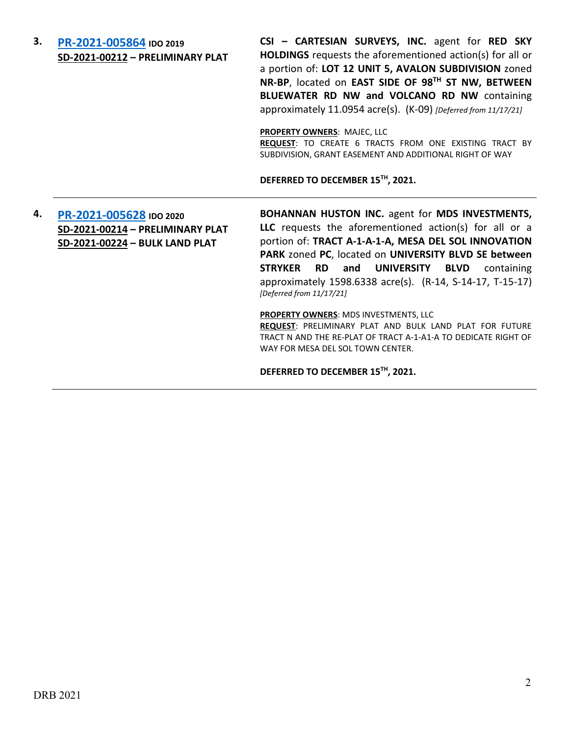## **3. [PR-2021-005864](http://data.cabq.gov/government/planning/DRB/PR-2021-005864/DRB%20Submittals/) IDO 2019 SD-2021-00212 – PRELIMINARY PLAT**

**CSI – CARTESIAN SURVEYS, INC.** agent for **RED SKY HOLDINGS** requests the aforementioned action(s) for all or a portion of: **LOT 12 UNIT 5, AVALON SUBDIVISION** zoned **NR-BP**, located on **EAST SIDE OF 98TH ST NW, BETWEEN BLUEWATER RD NW and VOLCANO RD NW** containing approximately 11.0954 acre(s). (K-09) *[Deferred from 11/17/21]*

**PROPERTY OWNERS**: MAJEC, LLC

**REQUEST**: TO CREATE 6 TRACTS FROM ONE EXISTING TRACT BY SUBDIVISION, GRANT EASEMENT AND ADDITIONAL RIGHT OF WAY

**DEFERRED TO DECEMBER 15TH, 2021.**

# **4. [PR-2021-005628](http://data.cabq.gov/government/planning/DRB/PR-2021-005628/DRB%20Submittals/) IDO 2020 SD-2021-00214 – PRELIMINARY PLAT SD-2021-00224 – BULK LAND PLAT**

**BOHANNAN HUSTON INC.** agent for **MDS INVESTMENTS, LLC** requests the aforementioned action(s) for all or a portion of: **TRACT A-1-A-1-A, MESA DEL SOL INNOVATION PARK** zoned **PC**, located on **UNIVERSITY BLVD SE between STRYKER RD and UNIVERSITY BLVD** containing approximately 1598.6338 acre(s). (R-14, S-14-17, T-15-17) *[Deferred from 11/17/21]*

**PROPERTY OWNERS**: MDS INVESTMENTS, LLC

**REQUEST**: PRELIMINARY PLAT AND BULK LAND PLAT FOR FUTURE TRACT N AND THE RE-PLAT OF TRACT A-1-A1-A TO DEDICATE RIGHT OF WAY FOR MESA DEL SOL TOWN CENTER.

**DEFERRED TO DECEMBER 15TH, 2021.**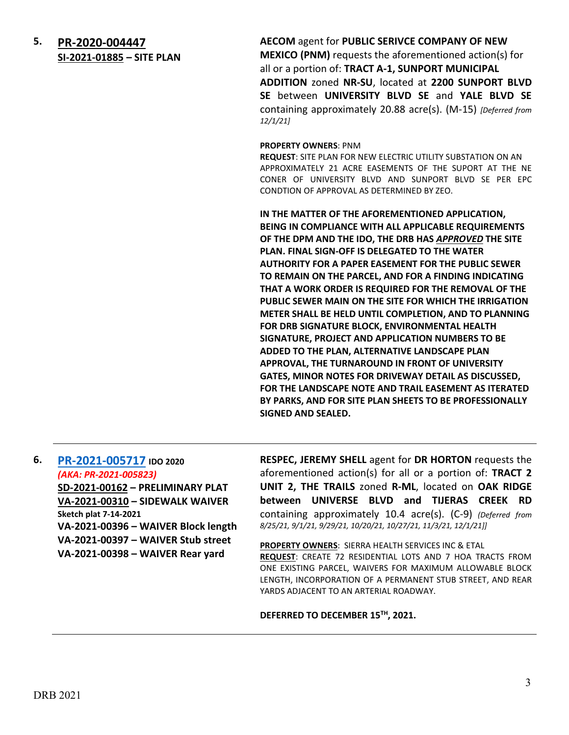**5. [PR-2020-004447](http://data.cabq.gov/government/planning/DRB/PR-2020-004447/DRB%20Submittals/) SI-2021-01885 – SITE PLAN**  **AECOM** agent for **PUBLIC SERIVCE COMPANY OF NEW MEXICO (PNM)** requests the aforementioned action(s) for all or a portion of: **TRACT A-1, SUNPORT MUNICIPAL ADDITION** zoned **NR-SU**, located at **2200 SUNPORT BLVD SE** between **UNIVERSITY BLVD SE** and **YALE BLVD SE** containing approximately 20.88 acre(s). (M-15) *[Deferred from 12/1/21]*

#### **PROPERTY OWNERS**: PNM

**REQUEST**: SITE PLAN FOR NEW ELECTRIC UTILITY SUBSTATION ON AN APPROXIMATELY 21 ACRE EASEMENTS OF THE SUPORT AT THE NE CONER OF UNIVERSITY BLVD AND SUNPORT BLVD SE PER EPC CONDTION OF APPROVAL AS DETERMINED BY ZEO.

**IN THE MATTER OF THE AFOREMENTIONED APPLICATION, BEING IN COMPLIANCE WITH ALL APPLICABLE REQUIREMENTS OF THE DPM AND THE IDO, THE DRB HAS** *APPROVED* **THE SITE PLAN. FINAL SIGN-OFF IS DELEGATED TO THE WATER AUTHORITY FOR A PAPER EASEMENT FOR THE PUBLIC SEWER TO REMAIN ON THE PARCEL, AND FOR A FINDING INDICATING THAT A WORK ORDER IS REQUIRED FOR THE REMOVAL OF THE PUBLIC SEWER MAIN ON THE SITE FOR WHICH THE IRRIGATION METER SHALL BE HELD UNTIL COMPLETION, AND TO PLANNING FOR DRB SIGNATURE BLOCK, ENVIRONMENTAL HEALTH SIGNATURE, PROJECT AND APPLICATION NUMBERS TO BE ADDED TO THE PLAN, ALTERNATIVE LANDSCAPE PLAN APPROVAL, THE TURNAROUND IN FRONT OF UNIVERSITY GATES, MINOR NOTES FOR DRIVEWAY DETAIL AS DISCUSSED, FOR THE LANDSCAPE NOTE AND TRAIL EASEMENT AS ITERATED BY PARKS, AND FOR SITE PLAN SHEETS TO BE PROFESSIONALLY SIGNED AND SEALED.**

**6. [PR-2021-005717](http://data.cabq.gov/government/planning/DRB/PR-2021-005717/DRB%20Submittals/) IDO 2020** *(AKA: PR-2021-005823)* **SD-2021-00162 – PRELIMINARY PLAT VA-2021-00310 – SIDEWALK WAIVER Sketch plat 7-14-2021 VA-2021-00396 – WAIVER Block length VA-2021-00397 – WAIVER Stub street VA-2021-00398 – WAIVER Rear yard**

**RESPEC, JEREMY SHELL** agent for **DR HORTON** requests the aforementioned action(s) for all or a portion of: **TRACT 2 UNIT 2, THE TRAILS** zoned **R-ML**, located on **OAK RIDGE between UNIVERSE BLVD and TIJERAS CREEK RD** containing approximately 10.4 acre(s). (C-9) *(Deferred from 8/25/21, 9/1/21, 9/29/21, 10/20/21, 10/27/21, 11/3/21, 12/1/21]]*

**PROPERTY OWNERS**: SIERRA HEALTH SERVICES INC & ETAL

**REQUEST**: CREATE 72 RESIDENTIAL LOTS AND 7 HOA TRACTS FROM ONE EXISTING PARCEL, WAIVERS FOR MAXIMUM ALLOWABLE BLOCK LENGTH, INCORPORATION OF A PERMANENT STUB STREET, AND REAR YARDS ADJACENT TO AN ARTERIAL ROADWAY.

**DEFERRED TO DECEMBER 15TH, 2021.**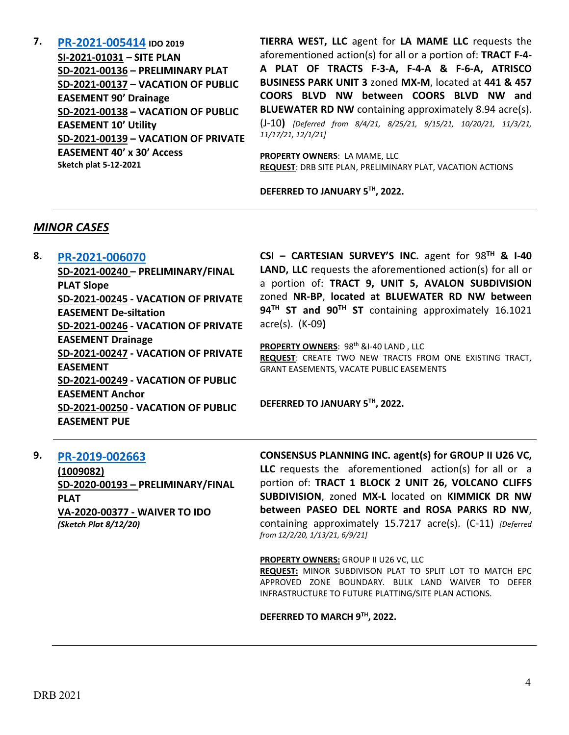**7. [PR-2021-005414](http://data.cabq.gov/government/planning/DRB/PR-2021-005414/DRB%20Submittals/) IDO 2019 SI-2021-01031 – SITE PLAN SD-2021-00136 – PRELIMINARY PLAT SD-2021-00137 – VACATION OF PUBLIC EASEMENT 90' Drainage SD-2021-00138 – VACATION OF PUBLIC EASEMENT 10' Utility SD-2021-00139 – VACATION OF PRIVATE EASEMENT 40' x 30' Access Sketch plat 5-12-2021**

**TIERRA WEST, LLC** agent for **LA MAME LLC** requests the aforementioned action(s) for all or a portion of: **TRACT F-4- A PLAT OF TRACTS F-3-A, F-4-A & F-6-A, ATRISCO BUSINESS PARK UNIT 3** zoned **MX-M**, located at **441 & 457 COORS BLVD NW between COORS BLVD NW and BLUEWATER RD NW** containing approximately 8.94 acre(s). (J-10**)** *[Deferred from 8/4/21, 8/25/21, 9/15/21, 10/20/21, 11/3/21, 11/17/21, 12/1/21]*

**PROPERTY OWNERS**: LA MAME, LLC **REQUEST**: DRB SITE PLAN, PRELIMINARY PLAT, VACATION ACTIONS

**DEFERRED TO JANUARY 5TH, 2022.**

### *MINOR CASES*

### **8. [PR-2021-006070](http://data.cabq.gov/government/planning/DRB/PR-2021-006070/DRB%20Submittals/PR-2021-006070_Dec_8_2021%20(P&F)/)**

**SD-2021-00240 – PRELIMINARY/FINAL PLAT Slope SD-2021-00245 - VACATION OF PRIVATE EASEMENT De-siltation SD-2021-00246 - VACATION OF PRIVATE EASEMENT Drainage SD-2021-00247 - VACATION OF PRIVATE EASEMENT SD-2021-00249 - VACATION OF PUBLIC EASEMENT Anchor SD-2021-00250 - VACATION OF PUBLIC EASEMENT PUE**

**CSI – CARTESIAN SURVEY'S INC.** agent for 98**TH & I-40 LAND, LLC** requests the aforementioned action(s) for all or a portion of: **TRACT 9, UNIT 5, AVALON SUBDIVISION** zoned **NR-BP**, **located at BLUEWATER RD NW between 94TH ST and 90TH ST** containing approximately 16.1021 acre(s). (K-09**)**

**PROPERTY OWNERS: 98th &I-40 LAND, LLC REQUEST**: CREATE TWO NEW TRACTS FROM ONE EXISTING TRACT, GRANT EASEMENTS, VACATE PUBLIC EASEMENTS

**DEFERRED TO JANUARY 5TH, 2022.**

### **9. [PR-2019-002663](http://data.cabq.gov/government/planning/DRB/PR-2019-002663/DRB%20Submittals/)**

**(1009082) SD-2020-00193 – PRELIMINARY/FINAL PLAT VA-2020-00377 - WAIVER TO IDO** *(Sketch Plat 8/12/20)*

**CONSENSUS PLANNING INC. agent(s) for GROUP II U26 VC, LLC** requests the aforementioned action(s) for all or a portion of: **TRACT 1 BLOCK 2 UNIT 26, VOLCANO CLIFFS SUBDIVISION**, zoned **MX-L** located on **KIMMICK DR NW between PASEO DEL NORTE and ROSA PARKS RD NW**, containing approximately 15.7217 acre(s). (C-11) *[Deferred from 12/2/20, 1/13/21, 6/9/21]*

**PROPERTY OWNERS:** GROUP II U26 VC, LLC

**REQUEST:** MINOR SUBDIVISON PLAT TO SPLIT LOT TO MATCH EPC APPROVED ZONE BOUNDARY. BULK LAND WAIVER TO DEFER INFRASTRUCTURE TO FUTURE PLATTING/SITE PLAN ACTIONS.

#### **DEFERRED TO MARCH 9TH, 2022.**